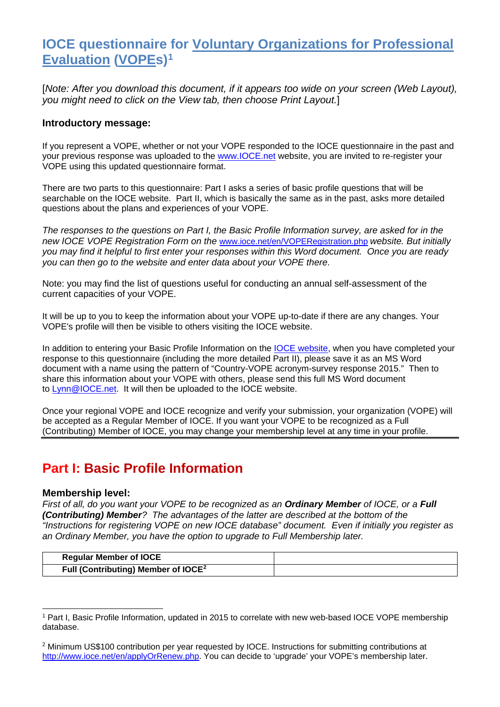## **IOCE questionnaire for Voluntary Organizations for Professional Evaluation (VOPEs)[1](#page-0-0)**

[*Note: After you download this document, if it appears too wide on your screen (Web Layout), you might need to click on the View tab, then choose Print Layout.*]

### **Introductory message:**

If you represent a VOPE, whether or not your VOPE responded to the IOCE questionnaire in the past and your previous response was uploaded to the [www.IOCE.net](http://www.ioce.net/) website, you are invited to re-register your VOPE using this updated questionnaire format.

There are two parts to this questionnaire: Part I asks a series of basic profile questions that will be searchable on the IOCE website. Part II, which is basically the same as in the past, asks more detailed questions about the plans and experiences of your VOPE.

*The responses to the questions on Part I, the Basic Profile Information survey, are asked for in the new IOCE VOPE Registration Form on the* [www.ioce.net/en/VOPERegistration.php](http://www.ioce.net/en/VOPERegistration.php) *website. But initially you may find it helpful to first enter your responses within this Word document. Once you are ready you can then go to the website and enter data about your VOPE there.*

Note: you may find the list of questions useful for conducting an annual self-assessment of the current capacities of your VOPE.

It will be up to you to keep the information about your VOPE up-to-date if there are any changes. Your VOPE's profile will then be visible to others visiting the IOCE website.

In addition to entering your Basic Profile Information on the [IOCE website,](http://www.ioce.net/en/VOPERegistration.php) when you have completed your response to this questionnaire (including the more detailed Part II), please save it as an MS Word document with a name using the pattern of "Country-VOPE acronym-survey response 2015." Then to share this information about your VOPE with others, please send this full MS Word document to **Lynn**@IOCE.net. It will then be uploaded to the IOCE website.

Once your regional VOPE and IOCE recognize and verify your submission, your organization (VOPE) will be accepted as a Regular Member of IOCE. If you want your VOPE to be recognized as a Full (Contributing) Member of IOCE, you may change your membership level at any time in your profile.

### **Part I: Basic Profile Information**

#### **Membership level:**

*First of all, do you want your VOPE to be recognized as an Ordinary Member of IOCE, or a Full (Contributing) Member? The advantages of the latter are described at the bottom of the "Instructions for registering VOPE on new IOCE database" document. Even if initially you register as an Ordinary Member, you have the option to upgrade to Full Membership later.*

| <b>Regular Member of IOCE</b>                   |  |
|-------------------------------------------------|--|
| Full (Contributing) Member of IOCE <sup>2</sup> |  |

<span id="page-0-0"></span><sup>1</sup> Part I, Basic Profile Information, updated in 2015 to correlate with new web-based IOCE VOPE membership database. -

<span id="page-0-1"></span><sup>2</sup> Minimum US\$100 contribution per year requested by IOCE. Instructions for submitting contributions at [http://www.ioce.net/en/applyOrRenew.php.](http://www.ioce.net/en/applyOrRenew.php) You can decide to 'upgrade' your VOPE's membership later.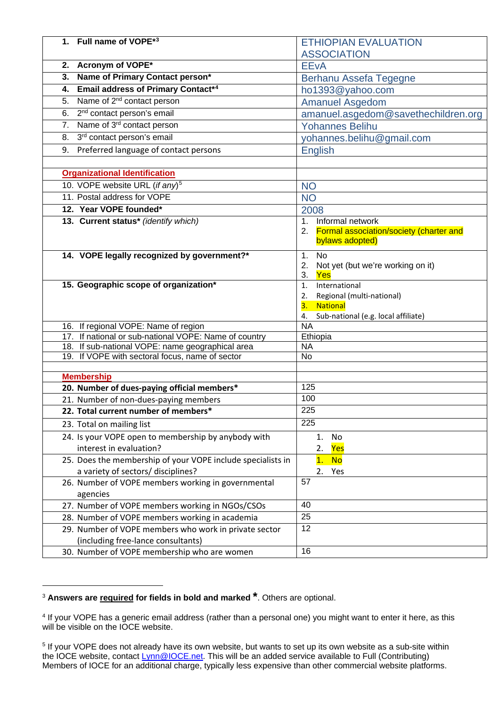| 1. Full name of VOPE*3                                                                        | <b>ETHIOPIAN EVALUATION</b>                |
|-----------------------------------------------------------------------------------------------|--------------------------------------------|
|                                                                                               | <b>ASSOCIATION</b>                         |
| 2. Acronym of VOPE*                                                                           | <b>EEvA</b>                                |
| 3. Name of Primary Contact person*                                                            | Berhanu Assefa Tegegne                     |
| 4. Email address of Primary Contact*4                                                         | ho1393@yahoo.com                           |
| 5. Name of 2 <sup>nd</sup> contact person                                                     | <b>Amanuel Asgedom</b>                     |
| 6. 2 <sup>nd</sup> contact person's email                                                     | amanuel.asgedom@savethechildren.org        |
| Name of 3 <sup>rd</sup> contact person<br>7.                                                  | <b>Yohannes Belihu</b>                     |
| 3rd contact person's email<br>8.                                                              | yohannes.belihu@gmail.com                  |
| 9. Preferred language of contact persons                                                      | <b>English</b>                             |
|                                                                                               |                                            |
| <b>Organizational Identification</b>                                                          |                                            |
| 10. VOPE website URL (if any) <sup>5</sup>                                                    | <b>NO</b>                                  |
| 11. Postal address for VOPE                                                                   | <b>NO</b>                                  |
| 12. Year VOPE founded*                                                                        |                                            |
| 13. Current status* (identify which)                                                          | 2008<br>Informal network<br>1.             |
|                                                                                               | 2. Formal association/society (charter and |
|                                                                                               | bylaws adopted)                            |
| 14. VOPE legally recognized by government?*                                                   | <b>No</b><br>1.                            |
|                                                                                               | Not yet (but we're working on it)<br>2.    |
|                                                                                               | 3.<br>Yes                                  |
| 15. Geographic scope of organization*                                                         | International<br>1.                        |
|                                                                                               | Regional (multi-national)<br>2.            |
|                                                                                               | 3.<br><b>National</b>                      |
|                                                                                               | Sub-national (e.g. local affiliate)<br>4.  |
| 16. If regional VOPE: Name of region<br>17. If national or sub-national VOPE: Name of country | <b>NA</b><br>Ethiopia                      |
| 18. If sub-national VOPE: name geographical area                                              | <b>NA</b>                                  |
| 19. If VOPE with sectoral focus, name of sector                                               | No                                         |
|                                                                                               |                                            |
| <b>Membership</b>                                                                             |                                            |
| 20. Number of dues-paying official members*                                                   | 125                                        |
| 21. Number of non-dues-paying members                                                         | 100                                        |
| 22. Total current number of members*                                                          | 225                                        |
| 23. Total on mailing list                                                                     | 225                                        |
| 24. Is your VOPE open to membership by anybody with                                           | No<br>1.                                   |
| interest in evaluation?                                                                       | 2.<br>Yes                                  |
| 25. Does the membership of your VOPE include specialists in                                   | 1.<br><b>No</b>                            |
| a variety of sectors/ disciplines?                                                            | 2.<br>Yes                                  |
| 26. Number of VOPE members working in governmental                                            | 57                                         |
| agencies                                                                                      |                                            |
| 27. Number of VOPE members working in NGOs/CSOs                                               | 40                                         |
| 28. Number of VOPE members working in academia                                                | 25                                         |
| 29. Number of VOPE members who work in private sector                                         | 12                                         |
| (including free-lance consultants)                                                            |                                            |
| 30. Number of VOPE membership who are women                                                   | 16                                         |

<span id="page-1-0"></span><sup>3</sup> **Answers are required for fields in bold and marked \***. Others are optional.

-

<span id="page-1-1"></span><sup>4</sup> If your VOPE has a generic email address (rather than a personal one) you might want to enter it here, as this will be visible on the IOCE website.

<span id="page-1-2"></span> $^5$  If your VOPE does not already have its own website, but wants to set up its own website as a sub-site within the IOCE website, contact <u>Lynn@IOCE.net</u>. This will be an added service available to Full (Contributing) Members of IOCE for an additional charge, typically less expensive than other commercial website platforms.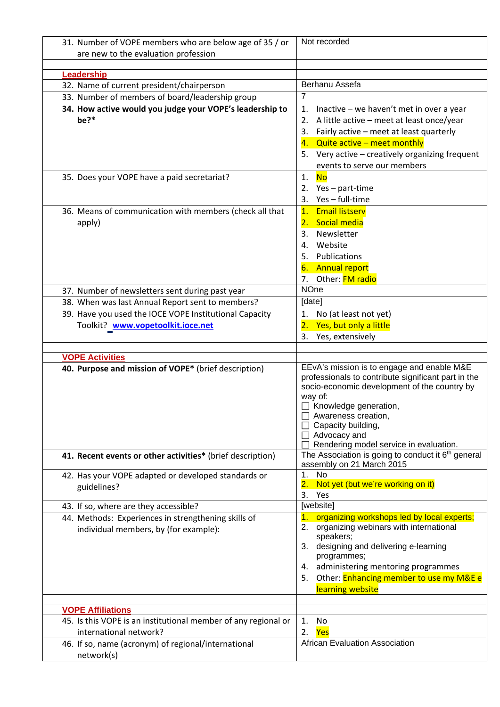| 31. Number of VOPE members who are below age of 35 / or                                             | Not recorded                                                   |
|-----------------------------------------------------------------------------------------------------|----------------------------------------------------------------|
| are new to the evaluation profession                                                                |                                                                |
|                                                                                                     |                                                                |
| Leadership                                                                                          |                                                                |
| 32. Name of current president/chairperson                                                           | Berhanu Assefa                                                 |
| 33. Number of members of board/leadership group                                                     | $\overline{7}$                                                 |
| 34. How active would you judge your VOPE's leadership to                                            | Inactive - we haven't met in over a year<br>$\mathbf{1}$ .     |
| be?*                                                                                                | A little active - meet at least once/year<br>2.                |
|                                                                                                     | Fairly active - meet at least quarterly<br>3.                  |
|                                                                                                     | Quite active - meet monthly<br>4.                              |
|                                                                                                     | Very active - creatively organizing frequent<br>5.             |
|                                                                                                     | events to serve our members                                    |
| 35. Does your VOPE have a paid secretariat?                                                         | 1.<br><b>No</b>                                                |
|                                                                                                     | Yes - part-time<br>2.<br>Yes-full-time<br>3.                   |
|                                                                                                     | <b>Email listserv</b><br>$\overline{1}$ .                      |
| 36. Means of communication with members (check all that                                             |                                                                |
| apply)                                                                                              | Social media<br>2.<br>Newsletter<br>3.                         |
|                                                                                                     | Website<br>4.                                                  |
|                                                                                                     | Publications<br>5.                                             |
|                                                                                                     | <b>Annual report</b><br>6.                                     |
|                                                                                                     | Other: <b>FM radio</b><br>7.                                   |
|                                                                                                     | <b>NOne</b>                                                    |
| 37. Number of newsletters sent during past year<br>38. When was last Annual Report sent to members? | [date]                                                         |
| 39. Have you used the IOCE VOPE Institutional Capacity                                              |                                                                |
|                                                                                                     | No (at least not yet)<br>1.<br>Yes, but only a little<br>2.    |
| Toolkit? www.vopetoolkit.ioce.net                                                                   | Yes, extensively<br>3.                                         |
|                                                                                                     |                                                                |
|                                                                                                     |                                                                |
| <b>VOPE Activities</b>                                                                              |                                                                |
| 40. Purpose and mission of VOPE* (brief description)                                                | EEvA's mission is to engage and enable M&E                     |
|                                                                                                     | professionals to contribute significant part in the            |
|                                                                                                     | socio-economic development of the country by                   |
|                                                                                                     | way of:                                                        |
|                                                                                                     | $\Box$ Knowledge generation,<br>Awareness creation,            |
|                                                                                                     | Capacity building,                                             |
|                                                                                                     | □ Advocacy and                                                 |
|                                                                                                     | Rendering model service in evaluation.                         |
| 41. Recent events or other activities* (brief description)                                          | The Association is going to conduct it 6 <sup>th</sup> general |
|                                                                                                     | assembly on 21 March 2015                                      |
| 42. Has your VOPE adapted or developed standards or                                                 | 1.<br>No<br>Not yet (but we're working on it)<br>2.            |
| guidelines?                                                                                         | 3.<br>Yes                                                      |
| 43. If so, where are they accessible?                                                               | [website]                                                      |
| 44. Methods: Experiences in strengthening skills of                                                 | organizing workshops led by local experts;<br>1.               |
| individual members, by (for example):                                                               | organizing webinars with international<br>2.                   |
|                                                                                                     | speakers;                                                      |
|                                                                                                     | 3. designing and delivering e-learning                         |
|                                                                                                     | programmes;<br>administering mentoring programmes<br>4.        |
|                                                                                                     | Other: Enhancing member to use my M&E e<br>5.                  |
|                                                                                                     | learning website                                               |
|                                                                                                     |                                                                |
| <b>VOPE Affiliations</b>                                                                            |                                                                |
| 45. Is this VOPE is an institutional member of any regional or                                      | No<br>1.                                                       |
| international network?                                                                              | 2.<br>Yes                                                      |
| 46. If so, name (acronym) of regional/international<br>network(s)                                   | <b>African Evaluation Association</b>                          |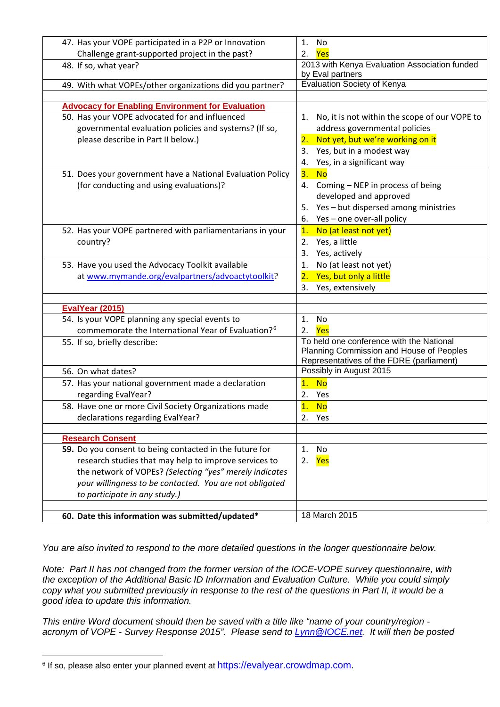| 47. Has your VOPE participated in a P2P or Innovation              | 1.<br>No                                             |
|--------------------------------------------------------------------|------------------------------------------------------|
| Challenge grant-supported project in the past?                     | Yes<br>2.                                            |
| 48. If so, what year?                                              | 2013 with Kenya Evaluation Association funded        |
|                                                                    | by Eval partners                                     |
| 49. With what VOPEs/other organizations did you partner?           | Evaluation Society of Kenya                          |
|                                                                    |                                                      |
| <b>Advocacy for Enabling Environment for Evaluation</b>            |                                                      |
| 50. Has your VOPE advocated for and influenced                     | No, it is not within the scope of our VOPE to<br>1.  |
| governmental evaluation policies and systems? (If so,              | address governmental policies                        |
| please describe in Part II below.)                                 | Not yet, but we're working on it<br>$\overline{2}$ . |
|                                                                    | Yes, but in a modest way<br>3.                       |
|                                                                    | Yes, in a significant way<br>4.                      |
| 51. Does your government have a National Evaluation Policy         | 3.<br><b>No</b>                                      |
| (for conducting and using evaluations)?                            | Coming - NEP in process of being<br>4.               |
|                                                                    | developed and approved                               |
|                                                                    | Yes - but dispersed among ministries<br>5.           |
|                                                                    | Yes - one over-all policy<br>6.                      |
| 52. Has your VOPE partnered with parliamentarians in your          | 1.<br>No (at least not yet)                          |
| country?                                                           | Yes, a little<br>2.                                  |
|                                                                    | Yes, actively<br>3.                                  |
| 53. Have you used the Advocacy Toolkit available                   | No (at least not yet)<br>1.                          |
| at www.mymande.org/evalpartners/advoactytoolkit?                   | Yes, but only a little<br>2.                         |
|                                                                    | Yes, extensively<br>3.                               |
|                                                                    |                                                      |
| EvalYear (2015)<br>54. Is your VOPE planning any special events to | No<br>1.                                             |
| commemorate the International Year of Evaluation? <sup>6</sup>     | Yes<br>2.                                            |
| 55. If so, briefly describe:                                       | To held one conference with the National             |
|                                                                    | Planning Commission and House of Peoples             |
|                                                                    | Representatives of the FDRE (parliament)             |
| 56. On what dates?                                                 | Possibly in August 2015                              |
| 57. Has your national government made a declaration                | <b>No</b><br>1.                                      |
| regarding EvalYear?                                                | Yes<br>2.                                            |
| 58. Have one or more Civil Society Organizations made              | $\overline{\mathbf{1}}$ .<br><b>No</b>               |
| declarations regarding EvalYear?                                   | 2.<br>Yes                                            |
|                                                                    |                                                      |
| <b>Research Consent</b>                                            |                                                      |
| 59. Do you consent to being contacted in the future for            | 1.<br>No                                             |
| research studies that may help to improve services to              | 2.<br>Yes                                            |
| the network of VOPEs? (Selecting "yes" merely indicates            |                                                      |
| your willingness to be contacted. You are not obligated            |                                                      |
| to participate in any study.)                                      |                                                      |
|                                                                    |                                                      |
| 60. Date this information was submitted/updated*                   | 18 March 2015                                        |

*You are also invited to respond to the more detailed questions in the longer questionnaire below.* 

*Note: Part II has not changed from the former version of the IOCE-VOPE survey questionnaire, with the exception of the Additional Basic ID Information and Evaluation Culture. While you could simply copy what you submitted previously in response to the rest of the questions in Part II, it would be a good idea to update this information.*

*This entire Word document should then be saved with a title like "name of your country/region acronym of VOPE - Survey Response 2015". Please send to [Lynn@IOCE.net.](mailto:Lynn@IOCE.net) It will then be posted* 

<span id="page-3-0"></span><sup>&</sup>lt;sup>6</sup> If so, please also enter your planned event at [https://evalyear.crowdmap.com.](https://evalyear.crowdmap.com/) j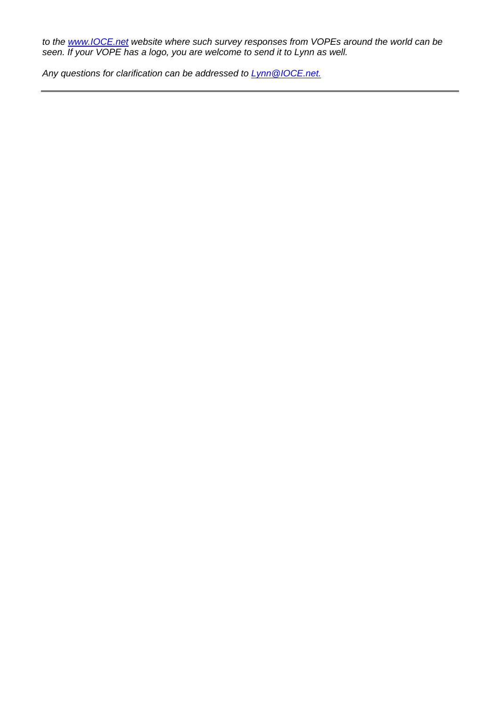*to the [www.IOCE.net](http://www.ioce.net/) website where such survey responses from VOPEs around the world can be seen. If your VOPE has a logo, you are welcome to send it to Lynn as well.*

*Any questions for clarification can be addressed to [Lynn@IOCE.net.](mailto:Lynn@IOCE.net)*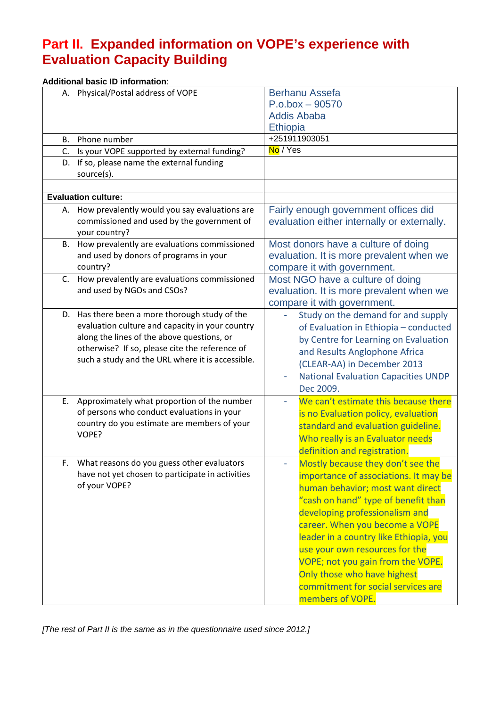# **Part II. Expanded information on VOPE's experience with Evaluation Capacity Building**

|    | <b>Additional basic ID information:</b>                                                                                                                                                                                                               |                                                                                                                                                                                                                                                                                                                                                                                                                                     |
|----|-------------------------------------------------------------------------------------------------------------------------------------------------------------------------------------------------------------------------------------------------------|-------------------------------------------------------------------------------------------------------------------------------------------------------------------------------------------------------------------------------------------------------------------------------------------------------------------------------------------------------------------------------------------------------------------------------------|
|    | A. Physical/Postal address of VOPE                                                                                                                                                                                                                    | <b>Berhanu Assefa</b><br>$P.o.$ box $-90570$<br><b>Addis Ababa</b><br><b>Ethiopia</b>                                                                                                                                                                                                                                                                                                                                               |
| В. | Phone number                                                                                                                                                                                                                                          | +251911903051                                                                                                                                                                                                                                                                                                                                                                                                                       |
| C. | Is your VOPE supported by external funding?                                                                                                                                                                                                           | No / Yes                                                                                                                                                                                                                                                                                                                                                                                                                            |
|    | D. If so, please name the external funding<br>source(s).                                                                                                                                                                                              |                                                                                                                                                                                                                                                                                                                                                                                                                                     |
|    |                                                                                                                                                                                                                                                       |                                                                                                                                                                                                                                                                                                                                                                                                                                     |
|    | <b>Evaluation culture:</b>                                                                                                                                                                                                                            |                                                                                                                                                                                                                                                                                                                                                                                                                                     |
|    | A. How prevalently would you say evaluations are<br>commissioned and used by the government of<br>your country?                                                                                                                                       | Fairly enough government offices did<br>evaluation either internally or externally.                                                                                                                                                                                                                                                                                                                                                 |
| B. | How prevalently are evaluations commissioned<br>and used by donors of programs in your<br>country?                                                                                                                                                    | Most donors have a culture of doing<br>evaluation. It is more prevalent when we<br>compare it with government.                                                                                                                                                                                                                                                                                                                      |
|    | C. How prevalently are evaluations commissioned<br>and used by NGOs and CSOs?                                                                                                                                                                         | Most NGO have a culture of doing<br>evaluation. It is more prevalent when we<br>compare it with government.                                                                                                                                                                                                                                                                                                                         |
|    | D. Has there been a more thorough study of the<br>evaluation culture and capacity in your country<br>along the lines of the above questions, or<br>otherwise? If so, please cite the reference of<br>such a study and the URL where it is accessible. | Study on the demand for and supply<br>of Evaluation in Ethiopia - conducted<br>by Centre for Learning on Evaluation<br>and Results Anglophone Africa<br>(CLEAR-AA) in December 2013<br><b>National Evaluation Capacities UNDP</b><br>Dec 2009.                                                                                                                                                                                      |
| E. | Approximately what proportion of the number<br>of persons who conduct evaluations in your<br>country do you estimate are members of your<br>VOPE?                                                                                                     | We can't estimate this because there<br>is no Evaluation policy, evaluation<br>standard and evaluation guideline.<br>Who really is an Evaluator needs<br>definition and registration.                                                                                                                                                                                                                                               |
| F. | What reasons do you guess other evaluators<br>have not yet chosen to participate in activities<br>of your VOPE?                                                                                                                                       | Mostly because they don't see the<br>importance of associations. It may be<br>human behavior; most want direct<br>"cash on hand" type of benefit than<br>developing professionalism and<br>career. When you become a VOPE<br>leader in a country like Ethiopia, you<br>use your own resources for the<br>VOPE; not you gain from the VOPE.<br>Only those who have highest<br>commitment for social services are<br>members of VOPE. |

*[The rest of Part II is the same as in the questionnaire used since 2012.]*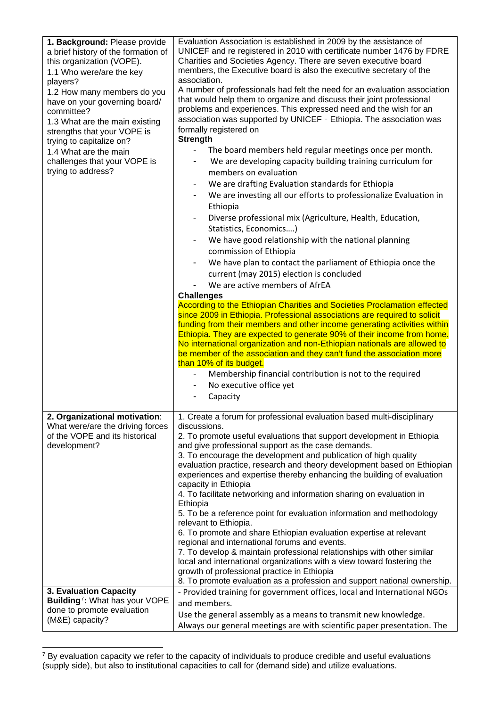| 1. Background: Please provide<br>a brief history of the formation of<br>this organization (VOPE).<br>1.1 Who were/are the key<br>players?<br>1.2 How many members do you<br>have on your governing board/<br>committee?<br>1.3 What are the main existing<br>strengths that your VOPE is<br>trying to capitalize on?<br>1.4 What are the main<br>challenges that your VOPE is<br>trying to address? | Evaluation Association is established in 2009 by the assistance of<br>UNICEF and re registered in 2010 with certificate number 1476 by FDRE<br>Charities and Societies Agency. There are seven executive board<br>members, the Executive board is also the executive secretary of the<br>association.<br>A number of professionals had felt the need for an evaluation association<br>that would help them to organize and discuss their joint professional<br>problems and experiences. This expressed need and the wish for an<br>association was supported by UNICEF - Ethiopia. The association was<br>formally registered on<br><b>Strength</b><br>The board members held regular meetings once per month.<br>We are developing capacity building training curriculum for<br>-<br>members on evaluation<br>We are drafting Evaluation standards for Ethiopia<br>We are investing all our efforts to professionalize Evaluation in<br>$\overline{\phantom{a}}$<br>Ethiopia<br>Diverse professional mix (Agriculture, Health, Education,<br>$\qquad \qquad \blacksquare$<br>Statistics, Economics)<br>We have good relationship with the national planning<br>commission of Ethiopia<br>We have plan to contact the parliament of Ethiopia once the<br>$\overline{\phantom{a}}$<br>current (may 2015) election is concluded<br>We are active members of AfrEA<br><b>Challenges</b><br>According to the Ethiopian Charities and Societies Proclamation effected<br>since 2009 in Ethiopia. Professional associations are required to solicit<br>funding from their members and other income generating activities within<br>Ethiopia. They are expected to generate 90% of their income from home.<br>No international organization and non-Ethiopian nationals are allowed to<br>be member of the association and they can't fund the association more<br>than 10% of its budget.<br>Membership financial contribution is not to the required<br>No executive office yet<br>Capacity |
|-----------------------------------------------------------------------------------------------------------------------------------------------------------------------------------------------------------------------------------------------------------------------------------------------------------------------------------------------------------------------------------------------------|-----------------------------------------------------------------------------------------------------------------------------------------------------------------------------------------------------------------------------------------------------------------------------------------------------------------------------------------------------------------------------------------------------------------------------------------------------------------------------------------------------------------------------------------------------------------------------------------------------------------------------------------------------------------------------------------------------------------------------------------------------------------------------------------------------------------------------------------------------------------------------------------------------------------------------------------------------------------------------------------------------------------------------------------------------------------------------------------------------------------------------------------------------------------------------------------------------------------------------------------------------------------------------------------------------------------------------------------------------------------------------------------------------------------------------------------------------------------------------------------------------------------------------------------------------------------------------------------------------------------------------------------------------------------------------------------------------------------------------------------------------------------------------------------------------------------------------------------------------------------------------------------------------------------------------------------------------------------------------------------|
| 2. Organizational motivation:<br>What were/are the driving forces<br>of the VOPE and its historical<br>development?                                                                                                                                                                                                                                                                                 | 1. Create a forum for professional evaluation based multi-disciplinary<br>discussions.<br>2. To promote useful evaluations that support development in Ethiopia<br>and give professional support as the case demands.<br>3. To encourage the development and publication of high quality<br>evaluation practice, research and theory development based on Ethiopian<br>experiences and expertise thereby enhancing the building of evaluation<br>capacity in Ethiopia<br>4. To facilitate networking and information sharing on evaluation in<br>Ethiopia<br>5. To be a reference point for evaluation information and methodology<br>relevant to Ethiopia.<br>6. To promote and share Ethiopian evaluation expertise at relevant<br>regional and international forums and events.<br>7. To develop & maintain professional relationships with other similar<br>local and international organizations with a view toward fostering the<br>growth of professional practice in Ethiopia<br>8. To promote evaluation as a profession and support national ownership.                                                                                                                                                                                                                                                                                                                                                                                                                                                                                                                                                                                                                                                                                                                                                                                                                                                                                                                       |
| 3. Evaluation Capacity<br>Building <sup>7</sup> : What has your VOPE<br>done to promote evaluation<br>(M&E) capacity?                                                                                                                                                                                                                                                                               | - Provided training for government offices, local and International NGOs<br>and members.<br>Use the general assembly as a means to transmit new knowledge.<br>Always our general meetings are with scientific paper presentation. The                                                                                                                                                                                                                                                                                                                                                                                                                                                                                                                                                                                                                                                                                                                                                                                                                                                                                                                                                                                                                                                                                                                                                                                                                                                                                                                                                                                                                                                                                                                                                                                                                                                                                                                                                   |

<span id="page-6-0"></span> $7$  By evaluation capacity we refer to the capacity of individuals to produce credible and useful evaluations (supply side), but also to institutional capacities to call for (demand side) and utilize evaluations.

j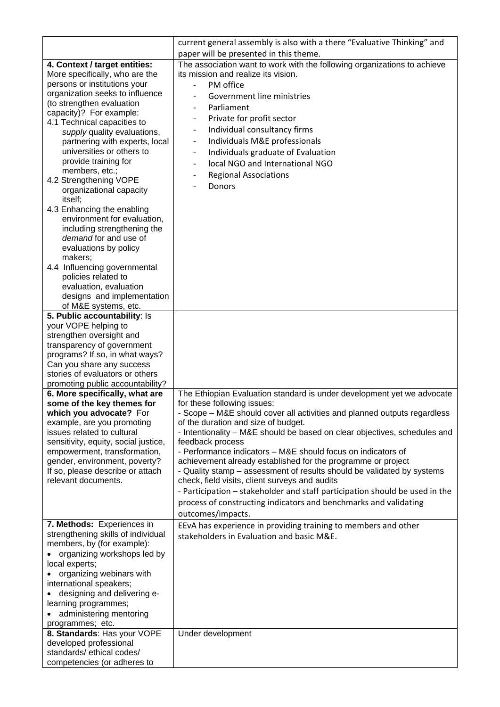|                                                                    | current general assembly is also with a there "Evaluative Thinking" and                       |
|--------------------------------------------------------------------|-----------------------------------------------------------------------------------------------|
|                                                                    | paper will be presented in this theme.                                                        |
| 4. Context / target entities:                                      | The association want to work with the following organizations to achieve                      |
| More specifically, who are the                                     | its mission and realize its vision.                                                           |
| persons or institutions your                                       | PM office<br>$\overline{\phantom{0}}$                                                         |
| organization seeks to influence                                    | Government line ministries                                                                    |
| (to strengthen evaluation                                          | Parliament<br>$\overline{\phantom{0}}$                                                        |
| capacity)? For example:<br>4.1 Technical capacities to             | Private for profit sector<br>$\qquad \qquad -$                                                |
| supply quality evaluations,                                        | Individual consultancy firms<br>$\qquad \qquad -$                                             |
| partnering with experts, local                                     | Individuals M&E professionals<br>$\qquad \qquad -$                                            |
| universities or others to                                          | Individuals graduate of Evaluation<br>$\qquad \qquad -$                                       |
| provide training for                                               | local NGO and International NGO<br>$\overline{\phantom{0}}$                                   |
| members, etc.;                                                     | <b>Regional Associations</b>                                                                  |
| 4.2 Strengthening VOPE                                             | -                                                                                             |
| organizational capacity                                            | <b>Donors</b>                                                                                 |
| itself;                                                            |                                                                                               |
| 4.3 Enhancing the enabling                                         |                                                                                               |
| environment for evaluation,                                        |                                                                                               |
| including strengthening the                                        |                                                                                               |
| demand for and use of                                              |                                                                                               |
| evaluations by policy<br>makers;                                   |                                                                                               |
| 4.4 Influencing governmental                                       |                                                                                               |
| policies related to                                                |                                                                                               |
| evaluation, evaluation                                             |                                                                                               |
| designs and implementation                                         |                                                                                               |
| of M&E systems, etc.                                               |                                                                                               |
| 5. Public accountability: Is                                       |                                                                                               |
| your VOPE helping to                                               |                                                                                               |
| strengthen oversight and                                           |                                                                                               |
| transparency of government                                         |                                                                                               |
| programs? If so, in what ways?<br>Can you share any success        |                                                                                               |
| stories of evaluators or others                                    |                                                                                               |
| promoting public accountability?                                   |                                                                                               |
| 6. More specifically, what are                                     | The Ethiopian Evaluation standard is under development yet we advocate                        |
| some of the key themes for                                         | for these following issues:                                                                   |
| which you advocate? For                                            | Scope - M&E should cover all activities and planned outputs regardless                        |
| example, are you promoting                                         | of the duration and size of budget.                                                           |
| issues related to cultural<br>sensitivity, equity, social justice, | - Intentionality - M&E should be based on clear objectives, schedules and<br>feedback process |
| empowerment, transformation,                                       | - Performance indicators - M&E should focus on indicators of                                  |
| gender, environment, poverty?                                      | achievement already established for the programme or project                                  |
| If so, please describe or attach                                   | - Quality stamp - assessment of results should be validated by systems                        |
| relevant documents.                                                | check, field visits, client surveys and audits                                                |
|                                                                    | - Participation - stakeholder and staff participation should be used in the                   |
|                                                                    | process of constructing indicators and benchmarks and validating                              |
|                                                                    | outcomes/impacts.                                                                             |
| 7. Methods: Experiences in                                         | EEvA has experience in providing training to members and other                                |
| strengthening skills of individual                                 | stakeholders in Evaluation and basic M&E.                                                     |
| members, by (for example):                                         |                                                                                               |
| organizing workshops led by                                        |                                                                                               |
| local experts;                                                     |                                                                                               |
| organizing webinars with                                           |                                                                                               |
| international speakers;                                            |                                                                                               |
| designing and delivering e-                                        |                                                                                               |
| learning programmes;                                               |                                                                                               |
| administering mentoring<br>programmes; etc.                        |                                                                                               |
| 8. Standards: Has your VOPE                                        | Under development                                                                             |
| developed professional                                             |                                                                                               |
| standards/ethical codes/                                           |                                                                                               |
| competencies (or adheres to                                        |                                                                                               |